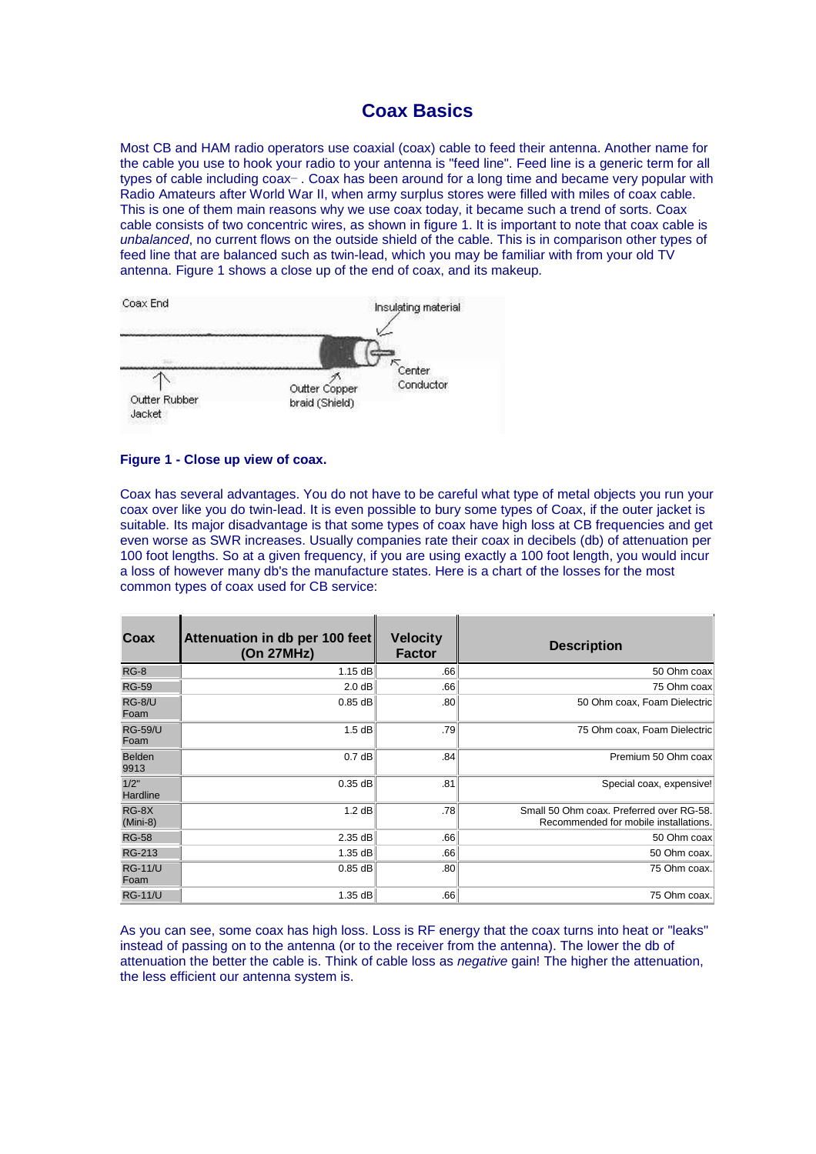# **Coax Basics**

Most CB and HAM radio operators use coaxial (coax) cable to feed their antenna. Another name for the cable you use to hook your radio to your antenna is "feed line". Feed line is a generic term for all types of cable including  $coax -$ . Coax has been around for a long time and became very popular with Radio Amateurs after World War II, when army surplus stores were filled with miles of coax cable. This is one of them main reasons why we use coax today, it became such a trend of sorts. Coax cable consists of two concentric wires, as shown in figure 1. It is important to note that coax cable is unbalanced, no current flows on the outside shield of the cable. This is in comparison other types of feed line that are balanced such as twin-lead, which you may be familiar with from your old TV antenna. Figure 1 shows a close up of the end of coax, and its makeup.



#### **Figure 1 - Close up view of coax.**

Coax has several advantages. You do not have to be careful what type of metal objects you run your coax over like you do twin-lead. It is even possible to bury some types of Coax, if the outer jacket is suitable. Its major disadvantage is that some types of coax have high loss at CB frequencies and get even worse as SWR increases. Usually companies rate their coax in decibels (db) of attenuation per 100 foot lengths. So at a given frequency, if you are using exactly a 100 foot length, you would incur a loss of however many db's the manufacture states. Here is a chart of the losses for the most common types of coax used for CB service:

| Coax                   | Attenuation in db per 100 feet<br>(On 27MHz) | <b>Velocity</b><br><b>Factor</b> | <b>Description</b>                                                                |
|------------------------|----------------------------------------------|----------------------------------|-----------------------------------------------------------------------------------|
| $RG-8$                 | 1.15dB                                       | .66                              | 50 Ohm coax                                                                       |
| <b>RG-59</b>           | 2.0 dB                                       | .66                              | 75 Ohm coax                                                                       |
| RG-8/U<br>Foam         | $0.85$ dB                                    | .80 <sub>1</sub>                 | 50 Ohm coax, Foam Dielectric                                                      |
| <b>RG-59/U</b><br>Foam | 1.5dB                                        | .79                              | 75 Ohm coax, Foam Dielectric                                                      |
| Belden<br>9913         | 0.7dB                                        | .84                              | Premium 50 Ohm coax                                                               |
| 1/2"<br>Hardline       | $0.35$ dB                                    | .81                              | Special coax, expensive!                                                          |
| $RG-8X$<br>$(Mini-8)$  | 1.2 dB                                       | .78                              | Small 50 Ohm coax. Preferred over RG-58.<br>Recommended for mobile installations. |
| <b>RG-58</b>           | 2.35 dB                                      | .66                              | 50 Ohm coax                                                                       |
| <b>RG-213</b>          | 1.35 dB                                      | .66                              | 50 Ohm coax.                                                                      |
| <b>RG-11/U</b><br>Foam | $0.85$ dB                                    | .80 <sub>1</sub>                 | 75 Ohm coax.                                                                      |
| <b>RG-11/U</b>         | 1.35 dB                                      | .66                              | 75 Ohm coax.                                                                      |

As you can see, some coax has high loss. Loss is RF energy that the coax turns into heat or "leaks" instead of passing on to the antenna (or to the receiver from the antenna). The lower the db of attenuation the better the cable is. Think of cable loss as negative gain! The higher the attenuation, the less efficient our antenna system is.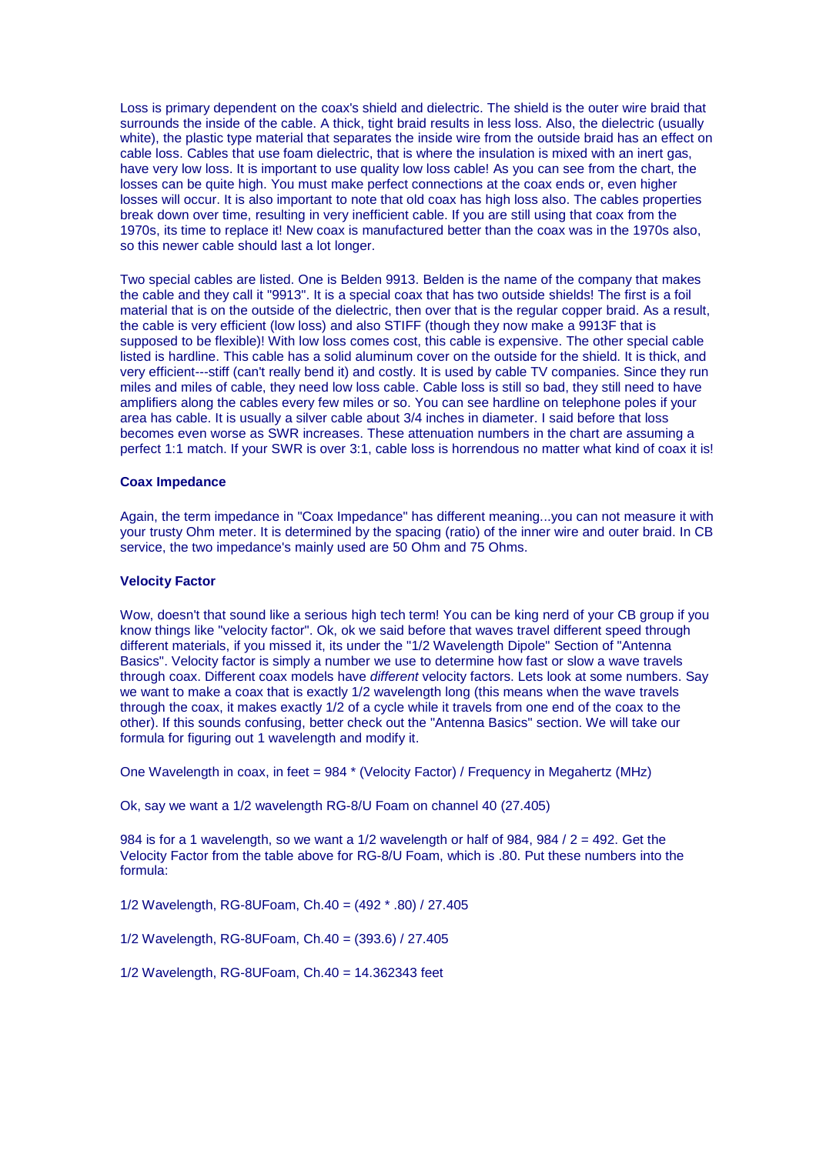Loss is primary dependent on the coax's shield and dielectric. The shield is the outer wire braid that surrounds the inside of the cable. A thick, tight braid results in less loss. Also, the dielectric (usually white), the plastic type material that separates the inside wire from the outside braid has an effect on cable loss. Cables that use foam dielectric, that is where the insulation is mixed with an inert gas, have very low loss. It is important to use quality low loss cable! As you can see from the chart, the losses can be quite high. You must make perfect connections at the coax ends or, even higher losses will occur. It is also important to note that old coax has high loss also. The cables properties break down over time, resulting in very inefficient cable. If you are still using that coax from the 1970s, its time to replace it! New coax is manufactured better than the coax was in the 1970s also, so this newer cable should last a lot longer.

Two special cables are listed. One is Belden 9913. Belden is the name of the company that makes the cable and they call it "9913". It is a special coax that has two outside shields! The first is a foil material that is on the outside of the dielectric, then over that is the regular copper braid. As a result, the cable is very efficient (low loss) and also STIFF (though they now make a 9913F that is supposed to be flexible)! With low loss comes cost, this cable is expensive. The other special cable listed is hardline. This cable has a solid aluminum cover on the outside for the shield. It is thick, and very efficient---stiff (can't really bend it) and costly. It is used by cable TV companies. Since they run miles and miles of cable, they need low loss cable. Cable loss is still so bad, they still need to have amplifiers along the cables every few miles or so. You can see hardline on telephone poles if your area has cable. It is usually a silver cable about 3/4 inches in diameter. I said before that loss becomes even worse as SWR increases. These attenuation numbers in the chart are assuming a perfect 1:1 match. If your SWR is over 3:1, cable loss is horrendous no matter what kind of coax it is!

### **Coax Impedance**

Again, the term impedance in "Coax Impedance" has different meaning...you can not measure it with your trusty Ohm meter. It is determined by the spacing (ratio) of the inner wire and outer braid. In CB service, the two impedance's mainly used are 50 Ohm and 75 Ohms.

### **Velocity Factor**

Wow, doesn't that sound like a serious high tech term! You can be king nerd of your CB group if you know things like "velocity factor". Ok, ok we said before that waves travel different speed through different materials, if you missed it, its under the "1/2 Wavelength Dipole" Section of "Antenna Basics". Velocity factor is simply a number we use to determine how fast or slow a wave travels through coax. Different coax models have different velocity factors. Lets look at some numbers. Say we want to make a coax that is exactly 1/2 wavelength long (this means when the wave travels through the coax, it makes exactly 1/2 of a cycle while it travels from one end of the coax to the other). If this sounds confusing, better check out the "Antenna Basics" section. We will take our formula for figuring out 1 wavelength and modify it.

One Wavelength in coax, in feet = 984 \* (Velocity Factor) / Frequency in Megahertz (MHz)

Ok, say we want a 1/2 wavelength RG-8/U Foam on channel 40 (27.405)

984 is for a 1 wavelength, so we want a  $1/2$  wavelength or half of 984, 984 /  $2 = 492$ . Get the Velocity Factor from the table above for RG-8/U Foam, which is .80. Put these numbers into the formula:

1/2 Wavelength, RG-8UFoam, Ch.40 = (492 \* .80) / 27.405

1/2 Wavelength, RG-8UFoam, Ch.40 = (393.6) / 27.405

1/2 Wavelength, RG-8UFoam, Ch.40 = 14.362343 feet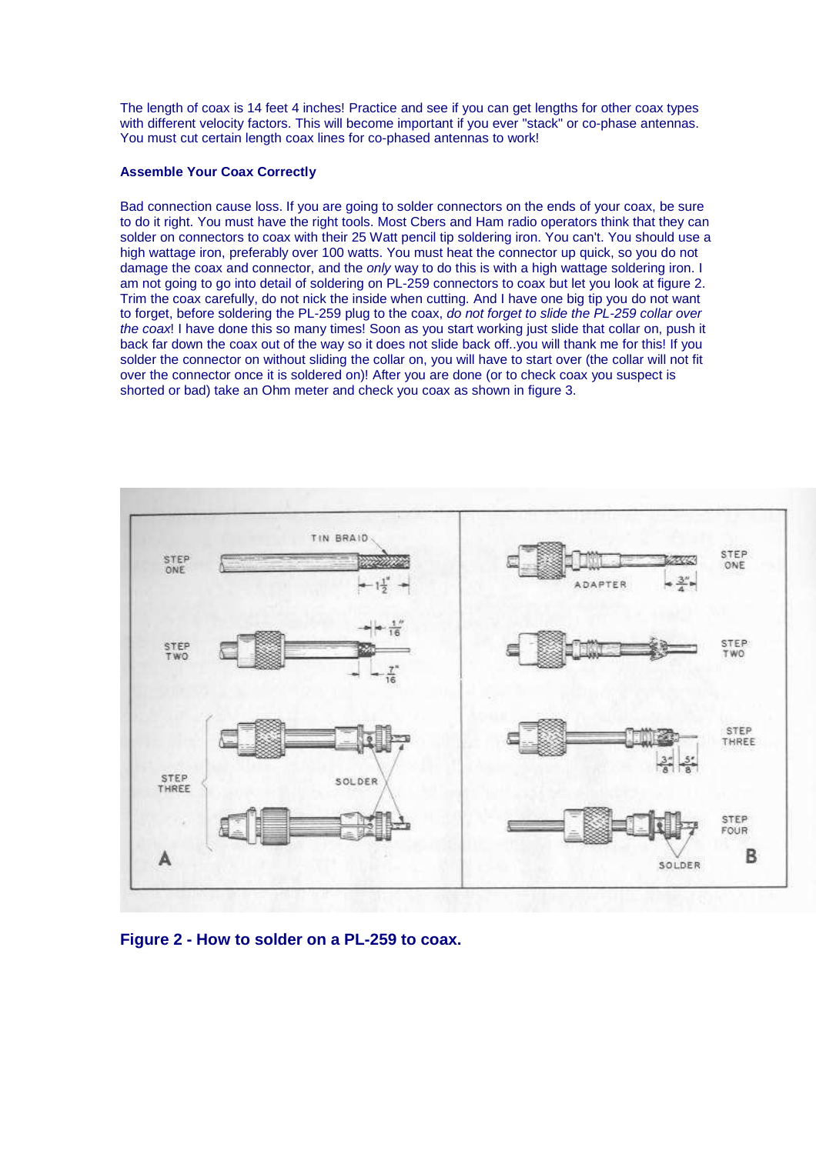The length of coax is 14 feet 4 inches! Practice and see if you can get lengths for other coax types with different velocity factors. This will become important if you ever "stack" or co-phase antennas. You must cut certain length coax lines for co-phased antennas to work!

## **Assemble Your Coax Correctly**

Bad connection cause loss. If you are going to solder connectors on the ends of your coax, be sure to do it right. You must have the right tools. Most Cbers and Ham radio operators think that they can solder on connectors to coax with their 25 Watt pencil tip soldering iron. You can't. You should use a high wattage iron, preferably over 100 watts. You must heat the connector up quick, so you do not damage the coax and connector, and the only way to do this is with a high wattage soldering iron. I am not going to go into detail of soldering on PL-259 connectors to coax but let you look at figure 2. Trim the coax carefully, do not nick the inside when cutting. And I have one big tip you do not want to forget, before soldering the PL-259 plug to the coax, do not forget to slide the PL-259 collar over the coax! I have done this so many times! Soon as you start working just slide that collar on, push it back far down the coax out of the way so it does not slide back off..you will thank me for this! If you solder the connector on without sliding the collar on, you will have to start over (the collar will not fit over the connector once it is soldered on)! After you are done (or to check coax you suspect is shorted or bad) take an Ohm meter and check you coax as shown in figure 3.



**Figure 2 - How to solder on a PL-259 to coax.**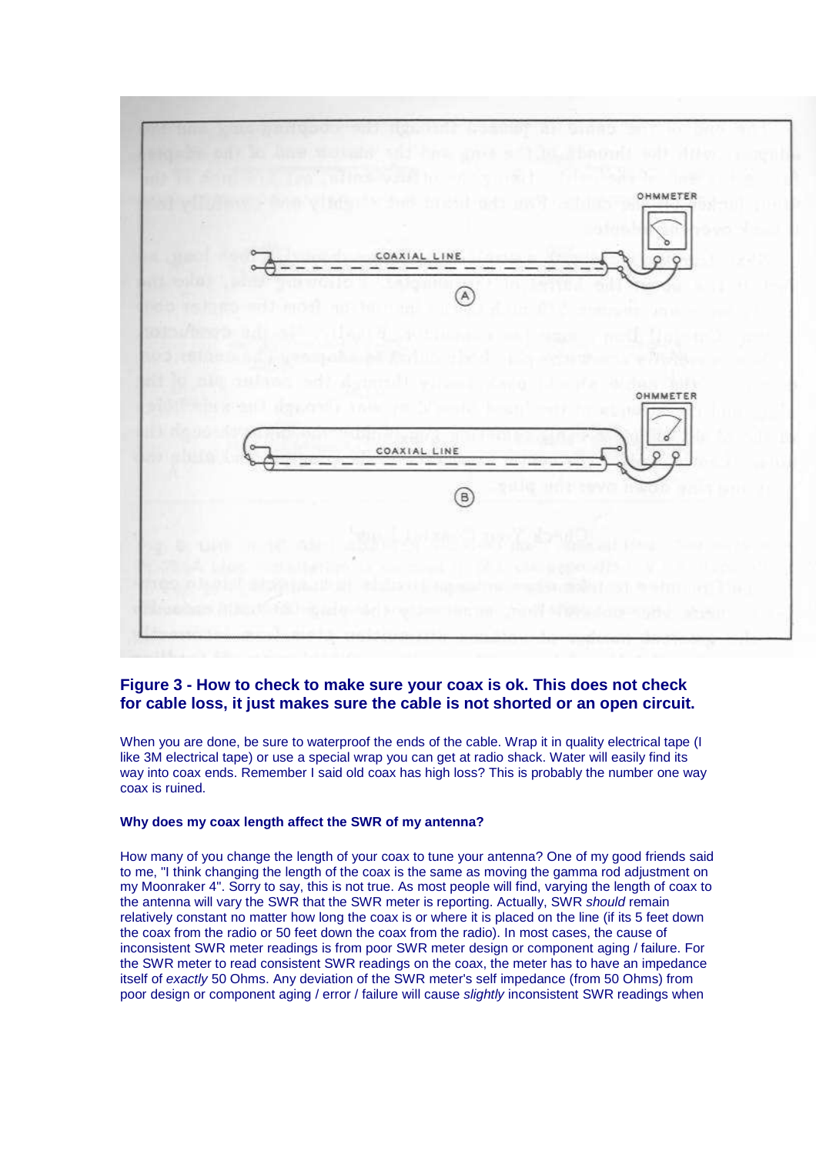

# **Figure 3 - How to check to make sure your coax is ok. This does not check for cable loss, it just makes sure the cable is not shorted or an open circuit.**

When you are done, be sure to waterproof the ends of the cable. Wrap it in quality electrical tape (I like 3M electrical tape) or use a special wrap you can get at radio shack. Water will easily find its way into coax ends. Remember I said old coax has high loss? This is probably the number one way coax is ruined.

### **Why does my coax length affect the SWR of my antenna?**

How many of you change the length of your coax to tune your antenna? One of my good friends said to me, "I think changing the length of the coax is the same as moving the gamma rod adjustment on my Moonraker 4". Sorry to say, this is not true. As most people will find, varying the length of coax to the antenna will vary the SWR that the SWR meter is reporting. Actually, SWR should remain relatively constant no matter how long the coax is or where it is placed on the line (if its 5 feet down the coax from the radio or 50 feet down the coax from the radio). In most cases, the cause of inconsistent SWR meter readings is from poor SWR meter design or component aging / failure. For the SWR meter to read consistent SWR readings on the coax, the meter has to have an impedance itself of exactly 50 Ohms. Any deviation of the SWR meter's self impedance (from 50 Ohms) from poor design or component aging / error / failure will cause slightly inconsistent SWR readings when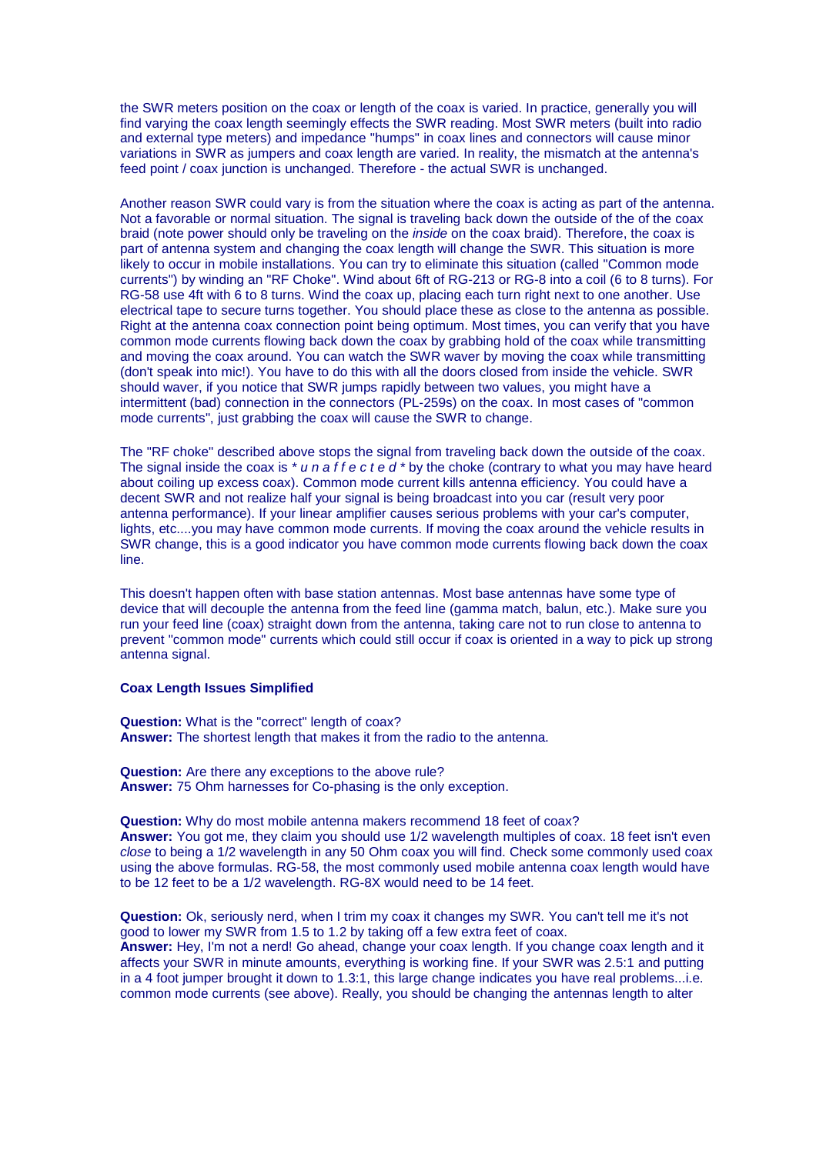the SWR meters position on the coax or length of the coax is varied. In practice, generally you will find varying the coax length seemingly effects the SWR reading. Most SWR meters (built into radio and external type meters) and impedance "humps" in coax lines and connectors will cause minor variations in SWR as jumpers and coax length are varied. In reality, the mismatch at the antenna's feed point / coax junction is unchanged. Therefore - the actual SWR is unchanged.

Another reason SWR could vary is from the situation where the coax is acting as part of the antenna. Not a favorable or normal situation. The signal is traveling back down the outside of the of the coax braid (note power should only be traveling on the inside on the coax braid). Therefore, the coax is part of antenna system and changing the coax length will change the SWR. This situation is more likely to occur in mobile installations. You can try to eliminate this situation (called "Common mode currents") by winding an "RF Choke". Wind about 6ft of RG-213 or RG-8 into a coil (6 to 8 turns). For RG-58 use 4ft with 6 to 8 turns. Wind the coax up, placing each turn right next to one another. Use electrical tape to secure turns together. You should place these as close to the antenna as possible. Right at the antenna coax connection point being optimum. Most times, you can verify that you have common mode currents flowing back down the coax by grabbing hold of the coax while transmitting and moving the coax around. You can watch the SWR waver by moving the coax while transmitting (don't speak into mic!). You have to do this with all the doors closed from inside the vehicle. SWR should waver, if you notice that SWR jumps rapidly between two values, you might have a intermittent (bad) connection in the connectors (PL-259s) on the coax. In most cases of "common mode currents", just grabbing the coax will cause the SWR to change.

The "RF choke" described above stops the signal from traveling back down the outside of the coax. The signal inside the coax is  $* u n a f f e c t e d * by the choice (contrary to what you may have heard)$ about coiling up excess coax). Common mode current kills antenna efficiency. You could have a decent SWR and not realize half your signal is being broadcast into you car (result very poor antenna performance). If your linear amplifier causes serious problems with your car's computer, lights, etc....you may have common mode currents. If moving the coax around the vehicle results in SWR change, this is a good indicator you have common mode currents flowing back down the coax line.

This doesn't happen often with base station antennas. Most base antennas have some type of device that will decouple the antenna from the feed line (gamma match, balun, etc.). Make sure you run your feed line (coax) straight down from the antenna, taking care not to run close to antenna to prevent "common mode" currents which could still occur if coax is oriented in a way to pick up strong antenna signal.

#### **Coax Length Issues Simplified**

**Question:** What is the "correct" length of coax? **Answer:** The shortest length that makes it from the radio to the antenna.

**Question:** Are there any exceptions to the above rule? **Answer:** 75 Ohm harnesses for Co-phasing is the only exception.

**Question:** Why do most mobile antenna makers recommend 18 feet of coax? **Answer:** You got me, they claim you should use 1/2 wavelength multiples of coax. 18 feet isn't even close to being a 1/2 wavelength in any 50 Ohm coax you will find. Check some commonly used coax using the above formulas. RG-58, the most commonly used mobile antenna coax length would have to be 12 feet to be a 1/2 wavelength. RG-8X would need to be 14 feet.

**Question:** Ok, seriously nerd, when I trim my coax it changes my SWR. You can't tell me it's not good to lower my SWR from 1.5 to 1.2 by taking off a few extra feet of coax. **Answer:** Hey, I'm not a nerd! Go ahead, change your coax length. If you change coax length and it affects your SWR in minute amounts, everything is working fine. If your SWR was 2.5:1 and putting in a 4 foot jumper brought it down to 1.3:1, this large change indicates you have real problems...i.e. common mode currents (see above). Really, you should be changing the antennas length to alter